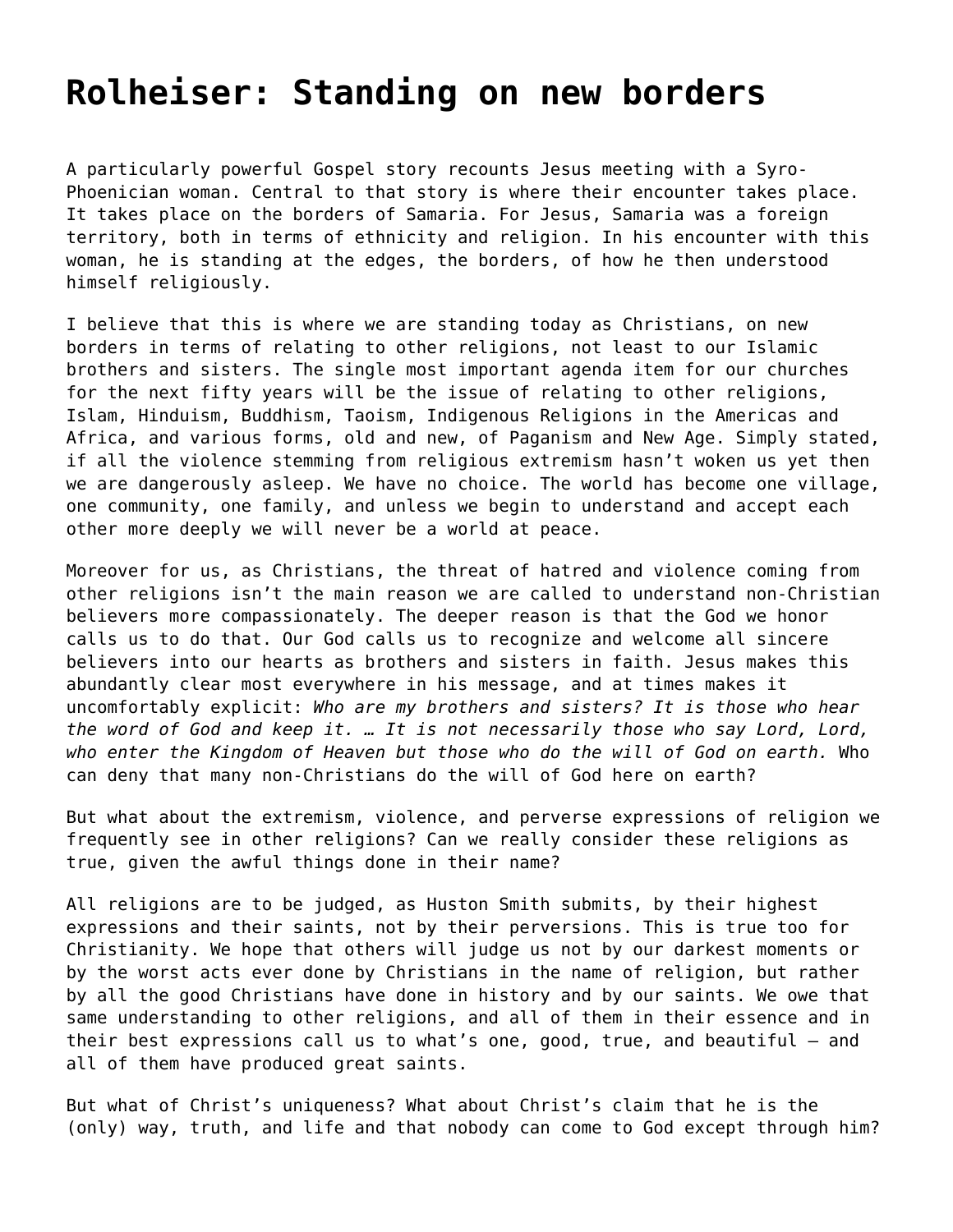## **[Rolheiser: Standing on new borders](https://grandinmedia.ca/standing-new-borders/)**

A particularly powerful Gospel story recounts Jesus meeting with a Syro-Phoenician woman. Central to that story is where their encounter takes place. It takes place on the borders of Samaria. For Jesus, Samaria was a foreign territory, both in terms of ethnicity and religion. In his encounter with this woman, he is standing at the edges, the borders, of how he then understood himself religiously.

I believe that this is where we are standing today as Christians, on new borders in terms of relating to other religions, not least to our Islamic brothers and sisters. The single most important agenda item for our churches for the next fifty years will be the issue of relating to other religions, Islam, Hinduism, Buddhism, Taoism, Indigenous Religions in the Americas and Africa, and various forms, old and new, of Paganism and New Age. Simply stated, if all the violence stemming from religious extremism hasn't woken us yet then we are dangerously asleep. We have no choice. The world has become one village, one community, one family, and unless we begin to understand and accept each other more deeply we will never be a world at peace.

Moreover for us, as Christians, the threat of hatred and violence coming from other religions isn't the main reason we are called to understand non-Christian believers more compassionately. The deeper reason is that the God we honor calls us to do that. Our God calls us to recognize and welcome all sincere believers into our hearts as brothers and sisters in faith. Jesus makes this abundantly clear most everywhere in his message, and at times makes it uncomfortably explicit: *Who are my brothers and sisters? It is those who hear the word of God and keep it. … It is not necessarily those who say Lord, Lord, who enter the Kingdom of Heaven but those who do the will of God on earth.* Who can deny that many non-Christians do the will of God here on earth?

But what about the extremism, violence, and perverse expressions of religion we frequently see in other religions? Can we really consider these religions as true, given the awful things done in their name?

All religions are to be judged, as Huston Smith submits, by their highest expressions and their saints, not by their perversions. This is true too for Christianity. We hope that others will judge us not by our darkest moments or by the worst acts ever done by Christians in the name of religion, but rather by all the good Christians have done in history and by our saints. We owe that same understanding to other religions, and all of them in their essence and in their best expressions call us to what's one, good, true, and beautiful – and all of them have produced great saints.

But what of Christ's uniqueness? What about Christ's claim that he is the (only) way, truth, and life and that nobody can come to God except through him?